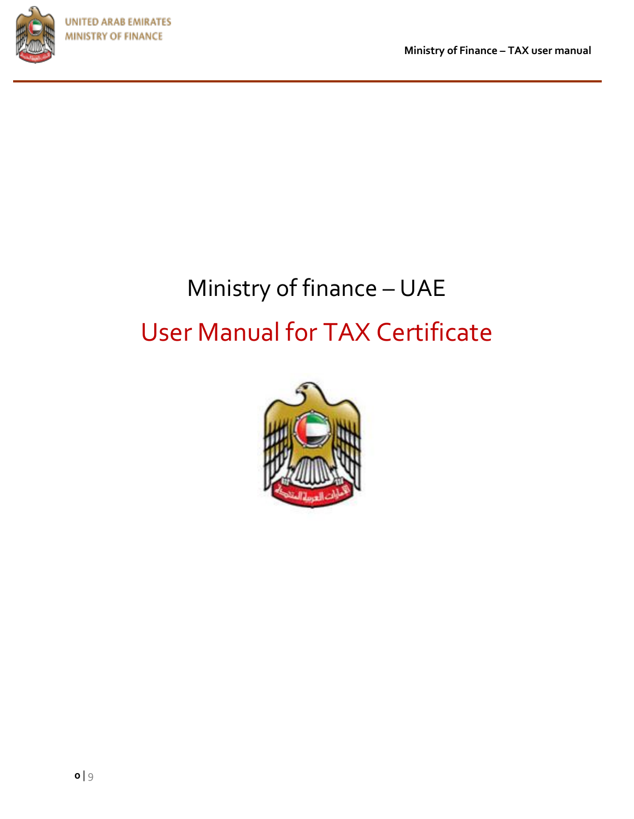

**Ministry of Finance – TAX user manual** 

# Ministry of finance – UAE User Manual for TAX Certificate

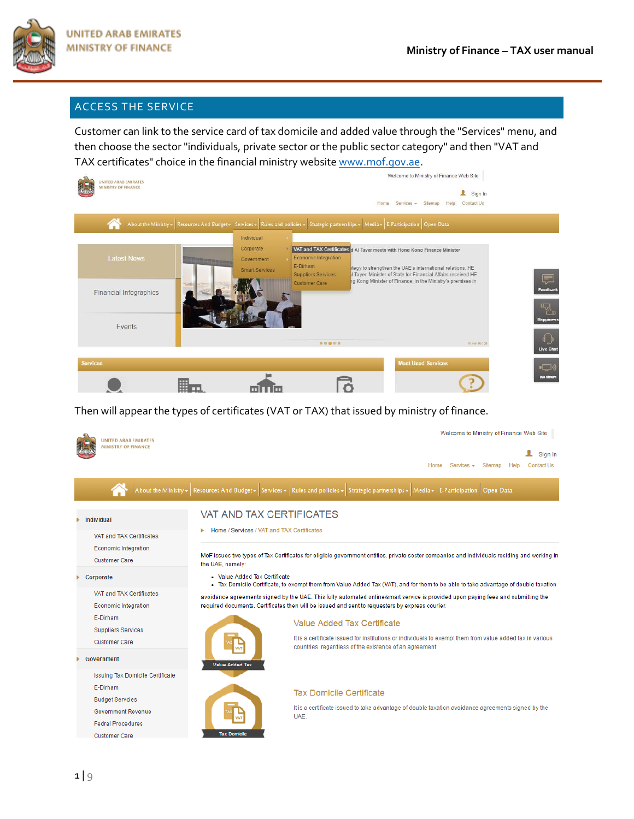

### ACCESS THE SERVICE

Customer can link to the service card of tax domicile and added value through the "Services" menu, and then choose the sector "individuals, private sector or the public sector category" and then "VAT and TAX certificates" choice in the financial ministry websit[e www.mof.gov.ae.](http://www.mof.gov.ae/)



Then will appear the types of certificates (VAT or TAX) that issued by ministry of finance.

| <b>UNITED ARAB EMIRATES</b>                                                     |                                                                               | Welcome to Ministry of Finance Web Site                                                                                                                                                                                              |
|---------------------------------------------------------------------------------|-------------------------------------------------------------------------------|--------------------------------------------------------------------------------------------------------------------------------------------------------------------------------------------------------------------------------------|
| <b>MINISTRY OF FINANCE</b>                                                      |                                                                               | Sign In<br><b>Contact Us</b><br>Home<br>$Services$ $\rightarrow$<br>Siteman<br><b>Help</b>                                                                                                                                           |
|                                                                                 |                                                                               | About the Ministry + Resources And Budget + Services + Rules and policies + Strategic partnerships + Media + E-Participation Open Data                                                                                               |
| Individual                                                                      | <b>VAT AND TAX CERTIFICATES</b><br>Home / Services / VAT and TAX Certificates |                                                                                                                                                                                                                                      |
| VAT and TAX Certificates<br><b>Economic Integration</b><br><b>Customer Care</b> | the UAE, namely:                                                              | MoF issues two types of Tax Certificates for eligible government entities, private sector companies and individuals residing and working in                                                                                          |
| Corporate                                                                       | . Value Added Tax Certificate                                                 | . Tax Domicile Certificate, to exempt them from Value Added Tax (VAT), and for them to be able to take advantage of double taxation                                                                                                  |
| VAT and TAX Certificates<br><b>Economic Integration</b>                         |                                                                               | avoidance agreements signed by the UAE. This fully automated online/smart service is provided upon paying fees and submitting the<br>required documents. Certificates then will be issued and sent to requesters by express courier. |
| E-Dirham<br><b>Suppliers Services</b>                                           |                                                                               | Value Added Tax Certificate                                                                                                                                                                                                          |
| <b>Customer Care</b>                                                            |                                                                               | It is a certificate issued for institutions or individuals to exempt them from value added tax in various<br>countries, regardless of the existence of an agreement.                                                                 |
| Government                                                                      | <b>Value Added Tax</b>                                                        |                                                                                                                                                                                                                                      |
| <b>Issuing Tax Domicile Certificate</b>                                         |                                                                               |                                                                                                                                                                                                                                      |
| E-Dirham                                                                        |                                                                               | <b>Tax Domicile Certificate</b>                                                                                                                                                                                                      |
| <b>Budget Servcies</b>                                                          |                                                                               |                                                                                                                                                                                                                                      |
| <b>Government Revenue</b>                                                       |                                                                               | It is a certificate issued to take advantage of double taxation avoidance agreements signed by the<br>UAE.                                                                                                                           |
| <b>Fedral Procedures</b>                                                        |                                                                               |                                                                                                                                                                                                                                      |
| <b>Customer Care</b>                                                            | <b>Tax Domicile</b>                                                           |                                                                                                                                                                                                                                      |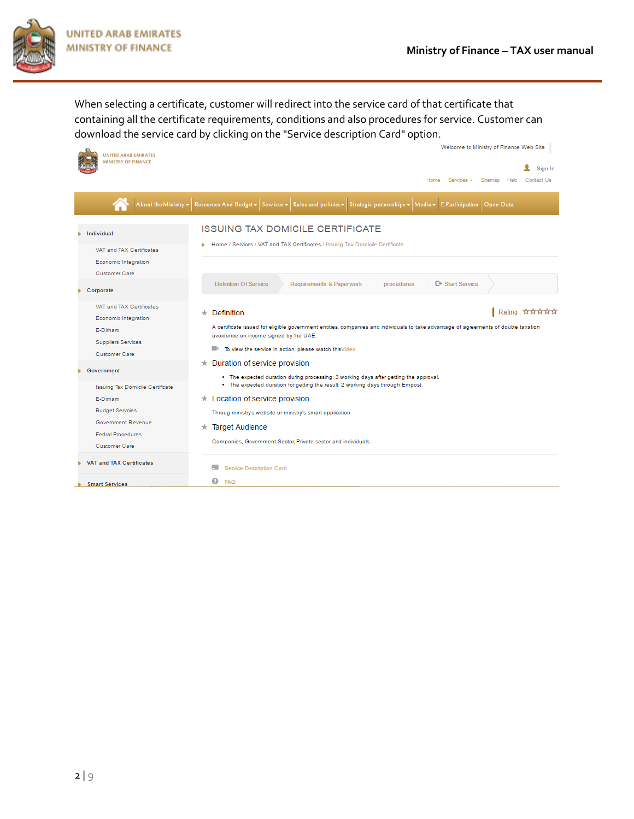

When selecting a certificate, customer will redirect into the service card of that certificate that containing all the certificate requirements, conditions and also procedures for service. Customer can download the service card by clicking on the "Service description Card" option.

| <b>UNITED ARAB EMIRATES</b><br><b>MINISTRY OF FINANCE</b>                                                  | Welcome to Ministry of Finance Web Site<br>Sign In<br>Home Services - Sitemap<br>Contact Us                                                                                                                                                                             |
|------------------------------------------------------------------------------------------------------------|-------------------------------------------------------------------------------------------------------------------------------------------------------------------------------------------------------------------------------------------------------------------------|
|                                                                                                            | About the Ministry - Resources And Budget - Services - Rules and policies - Strategic partnerships - Media - E-Participation Open Data                                                                                                                                  |
| Individual                                                                                                 | <b>ISSUING TAX DOMICILE CERTIFICATE</b>                                                                                                                                                                                                                                 |
| VAT and TAX Certificates                                                                                   | Home / Services / VAT and TAX Certificates / Issuing Tax Domicile Certificate                                                                                                                                                                                           |
| Economic Integration<br>Customer Care                                                                      |                                                                                                                                                                                                                                                                         |
| Corporate                                                                                                  | <b>C</b> <sup>+</sup> Start Service<br><b>Definition Of Service</b><br>Requirements & Paperwork<br>procedures                                                                                                                                                           |
| VAT and TAX Certificates<br>Economic Integration<br>E-Dirham<br><b>Suppliers Services</b><br>Customer Care | Rating : ☆☆☆☆☆<br>Definition<br>A certificate issued for eligible government entities, companies and individuals to take advantage of agreements of double taxation<br>avoidance on income signed by the UAE.<br>To view the service in action, please watch this Video |
| Government<br><b>Issuing Tax Domicile Certificate</b>                                                      | $\star$ Duration of service provision<br>. The expected duration during processing: 3 working days after getting the approval.<br>. The expected duration for getting the result: 2 working days through Empost.                                                        |
| E-Dirham                                                                                                   | $\star$ Location of service provision                                                                                                                                                                                                                                   |
| <b>Budget Servcies</b><br>Government Revenue<br><b>Fedral Procedures</b><br>Customer Care                  | Throug ministry's website or ministry's smart application<br><b>Target Audience</b><br>*<br>Companies, Government Sector, Private sector and individuals                                                                                                                |
| <b>VAT and TAX Certificates</b>                                                                            | ≕<br>Service Description Card                                                                                                                                                                                                                                           |
| <b>Smart Services</b>                                                                                      | ຨ<br><b>FAQ</b>                                                                                                                                                                                                                                                         |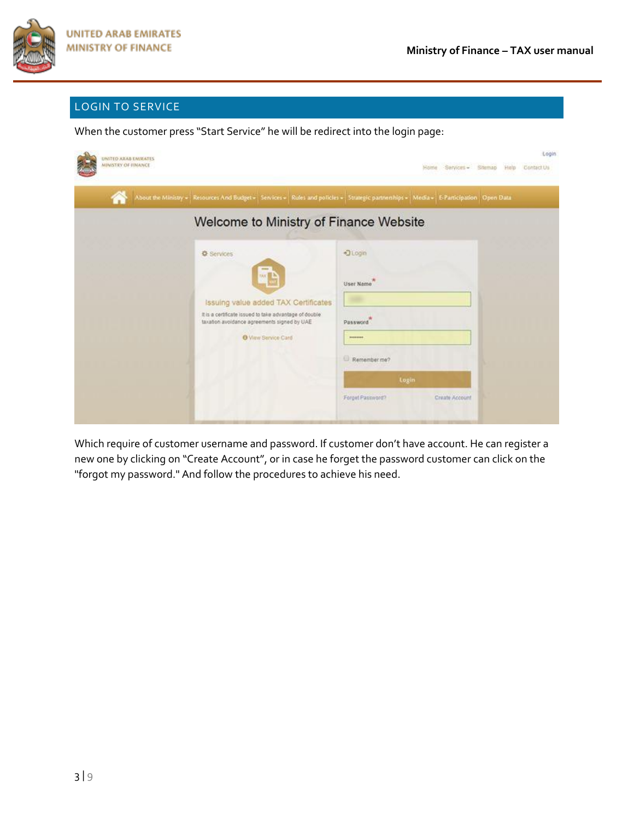

# LOGIN TO SERVICE

When the customer press "Start Service" he will be redirect into the login page:

| UNITED ARAB EMIRATES<br><b>MINISTRY OF FINANCE</b>                                             | Login<br>-Services - Sitemap<br>Contact Us<br>Home.<br>Help                                                                              |
|------------------------------------------------------------------------------------------------|------------------------------------------------------------------------------------------------------------------------------------------|
|                                                                                                | About the Ministry = Resources And Budget = Services = Rules and policies = Strategic partnerships = Media = E-Participation   Open Data |
| Welcome to Ministry of Finance Website                                                         |                                                                                                                                          |
| <b>O</b> Services                                                                              | <b>DLogin</b>                                                                                                                            |
| <b>MA</b>                                                                                      | User Name                                                                                                                                |
| Issuing value added TAX Certificates<br>It is a certificate issued to take advantage of double |                                                                                                                                          |
| taxation avoidance agreements signed by UAE<br>O View Service Card                             | Password<br>-                                                                                                                            |
|                                                                                                | Remember me?                                                                                                                             |
|                                                                                                | Login                                                                                                                                    |
|                                                                                                | Forget Password?<br>Create Account                                                                                                       |

Which require of customer username and password. If customer don't have account. He can register a new one by clicking on "Create Account", or in case he forget the password customer can click on the "forgot my password." And follow the procedures to achieve his need.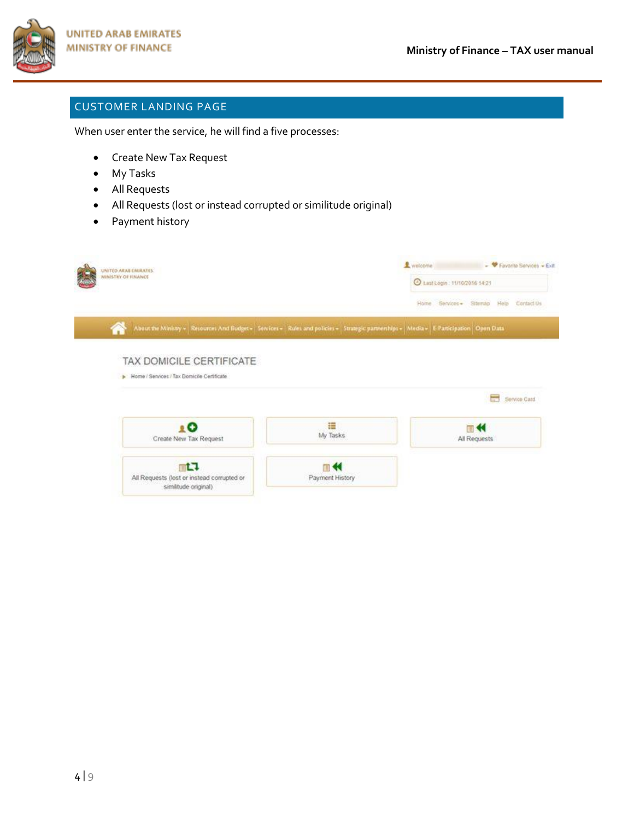

## CUSTOMER LANDING PAGE

When user enter the service, he will find a five processes:

- Create New Tax Request
- My Tasks
- All Requests
- All Requests (lost or instead corrupted or similitude original)
- Payment history

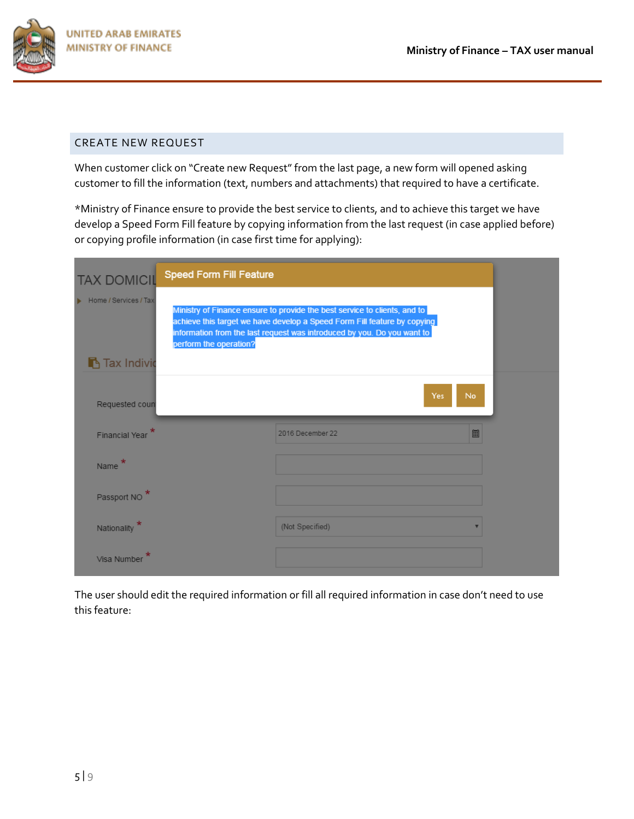

### CREATE NEW REQUEST

When customer click on "Create new Request" from the last page, a new form will opened asking customer to fill the information (text, numbers and attachments) that required to have a certificate.

\*Ministry of Finance ensure to provide the best service to clients, and to achieve this target we have develop a Speed Form Fill feature by copying information from the last request (in case applied before) or copying profile information (in case first time for applying):

| <b>TAX DOMICIL</b>                          | <b>Speed Form Fill Feature</b> |                                                                                                                                                                                                                                  |           |
|---------------------------------------------|--------------------------------|----------------------------------------------------------------------------------------------------------------------------------------------------------------------------------------------------------------------------------|-----------|
| Home / Services / Tax<br><b>Tax Individ</b> | perform the operation?         | Ministry of Finance ensure to provide the best service to clients, and to<br>achieve this target we have develop a Speed Form Fill feature by copying<br>information from the last request was introduced by you. Do you want to |           |
| Requested coun                              |                                | Yes                                                                                                                                                                                                                              | <b>No</b> |
|                                             |                                |                                                                                                                                                                                                                                  |           |
| <b>Financial Year</b>                       |                                | 2016 December 22                                                                                                                                                                                                                 | 圖         |
| <b>Name</b>                                 |                                |                                                                                                                                                                                                                                  |           |
| Passport NO                                 |                                |                                                                                                                                                                                                                                  |           |
| Nationality                                 |                                | (Not Specified)                                                                                                                                                                                                                  |           |

The user should edit the required information or fill all required information in case don't need to use this feature: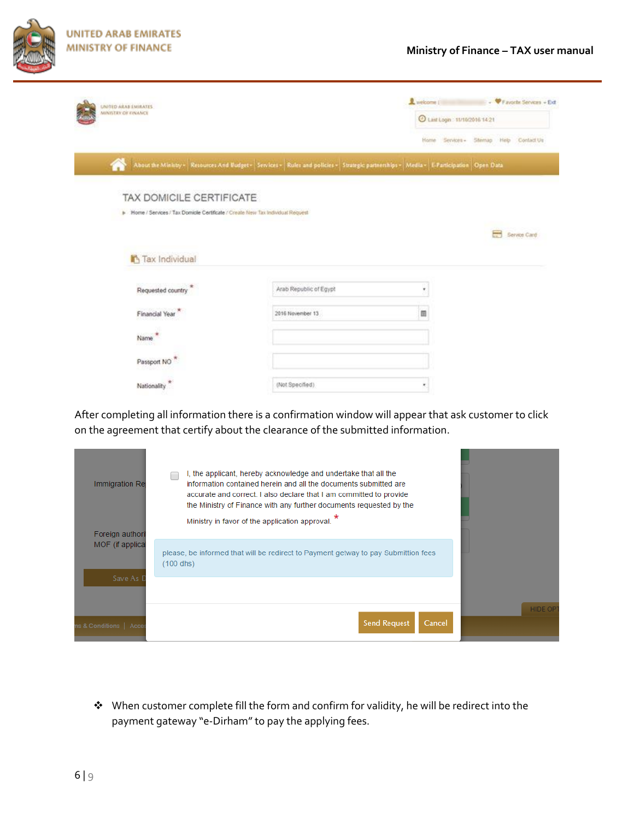

| <b>UNITED ARAB ENIRATES</b>                                                     |                                                                                                                                        | Le welcome                   | P Favorite Services + Ext              |
|---------------------------------------------------------------------------------|----------------------------------------------------------------------------------------------------------------------------------------|------------------------------|----------------------------------------|
| MINISTRY OF ENANCE                                                              |                                                                                                                                        | C Last Logn 11/10/2016 14:21 |                                        |
|                                                                                 |                                                                                                                                        |                              | Home Services - Stemap Help Contact Us |
|                                                                                 | About the Ministry - Resources And Budget - Services - Rules and policies - Strategic partnerships - Media - E-Participation Open Data |                              |                                        |
|                                                                                 |                                                                                                                                        |                              |                                        |
| TAX DOMICILE CERTIFICATE                                                        |                                                                                                                                        |                              |                                        |
| > Home / Services / Tax Domicle Certificate / Create New Tax Individual Request |                                                                                                                                        |                              |                                        |
|                                                                                 |                                                                                                                                        |                              | Service Card                           |
|                                                                                 |                                                                                                                                        |                              |                                        |
| Tax Individual                                                                  |                                                                                                                                        |                              |                                        |
|                                                                                 |                                                                                                                                        |                              |                                        |
|                                                                                 |                                                                                                                                        |                              |                                        |
|                                                                                 |                                                                                                                                        |                              |                                        |
| Requested country                                                               | Arab Republic of Egypt                                                                                                                 | ٠                            |                                        |
|                                                                                 |                                                                                                                                        |                              |                                        |
| Financial Year                                                                  | 2016 November 13                                                                                                                       | 田                            |                                        |
|                                                                                 |                                                                                                                                        |                              |                                        |
| Name                                                                            |                                                                                                                                        |                              |                                        |
|                                                                                 |                                                                                                                                        |                              |                                        |
| Passport NO                                                                     |                                                                                                                                        |                              |                                        |
| Nationality                                                                     | (Not Specified)                                                                                                                        |                              |                                        |

After completing all information there is a confirmation window will appear that ask customer to click on the agreement that certify about the clearance of the submitted information.

| Immigration Re<br>Foreign authori | I, the applicant, hereby acknowledge and undertake that all the<br>information contained herein and all the documents submitted are<br>accurate and correct. I also declare that I am committed to provide<br>the Ministry of Finance with any further documents requested by the<br>Ministry in favor of the application approval. * |                |
|-----------------------------------|---------------------------------------------------------------------------------------------------------------------------------------------------------------------------------------------------------------------------------------------------------------------------------------------------------------------------------------|----------------|
| MOF (if applical<br>Save As D     | please, be informed that will be redirect to Payment getway to pay Submittion fees<br>$(100$ dhs)                                                                                                                                                                                                                                     |                |
| ns & Conditions   Acce            | <b>Send Request</b><br>Cancel                                                                                                                                                                                                                                                                                                         | <b>HIDE OP</b> |

\* When customer complete fill the form and confirm for validity, he will be redirect into the payment gateway "e-Dirham" to pay the applying fees.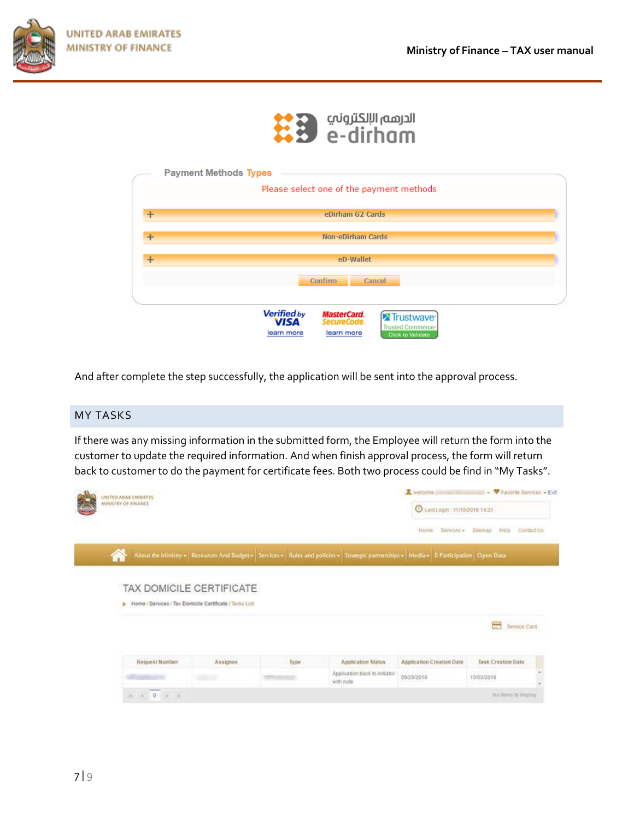



|           | <b>Payment Methods Types</b>                                                                                                                                              |
|-----------|---------------------------------------------------------------------------------------------------------------------------------------------------------------------------|
|           | Please select one of the payment methods                                                                                                                                  |
| $\pm$     | eDirham G2 Cards                                                                                                                                                          |
| $\pm$     | <b>Non-eDirham Cards</b>                                                                                                                                                  |
| $\ddot{}$ | eD-Wallet                                                                                                                                                                 |
|           | <b>Confirm</b><br>Cancel                                                                                                                                                  |
|           | <b>Verified by</b>                                                                                                                                                        |
|           | <b>MasterCard.</b><br>Trustwave <sup>®</sup><br><b>VISA</b><br>SecureCode.<br><b>Trusted Commerce<sup>®</sup></b><br>learn more<br>learn more<br><b>Click to Validate</b> |

And after complete the step successfully, the application will be sent into the approval process.

### MY TASKS

If there was any missing information in the submitted form, the Employee will return the form into the customer to update the required information. And when finish approval process, the form will return back to customer to do the payment for certificate fees. Both two process could be find in "My Tasks".

| UNITED ARAB EMIRATES<br>MINISTRY OF FINANCE                                                              |          |      |                                                                                                                                        | welcome can                      | (iii) - V Favorite Services - Exit |            |
|----------------------------------------------------------------------------------------------------------|----------|------|----------------------------------------------------------------------------------------------------------------------------------------|----------------------------------|------------------------------------|------------|
|                                                                                                          |          |      |                                                                                                                                        | C Last Login: 11/10/2016 14:21   |                                    |            |
|                                                                                                          |          |      |                                                                                                                                        | Home<br>Services                 | Siteman<br>Hbl0                    | Contact Us |
| 倄                                                                                                        |          |      | About the Ministry + Resources And Budget + Services + Rules and policies + Strategic partnerships + Media + E Participation Open Data |                                  |                                    |            |
| TAX DOMICILE CERTIFICATE<br>> Home / Services / Tax Domicile Certificate / Tasks List                    |          |      |                                                                                                                                        |                                  |                                    |            |
|                                                                                                          |          |      |                                                                                                                                        |                                  | Service Card                       |            |
| <b>Request Number</b>                                                                                    | Assignee | Type | <b>Application Status</b>                                                                                                              | <b>Application Creation Date</b> | <b>Task Creation Date</b>          |            |
|                                                                                                          |          |      | Application back to initiator<br>with note                                                                                             | 09/29/2016                       | 10/03/2016                         |            |
| $\label{eq:R1} \begin{array}{cccccccccccccc} \alpha & \alpha & \alpha & 0 & \alpha & \alpha \end{array}$ |          |      |                                                                                                                                        |                                  | No dems to display                 |            |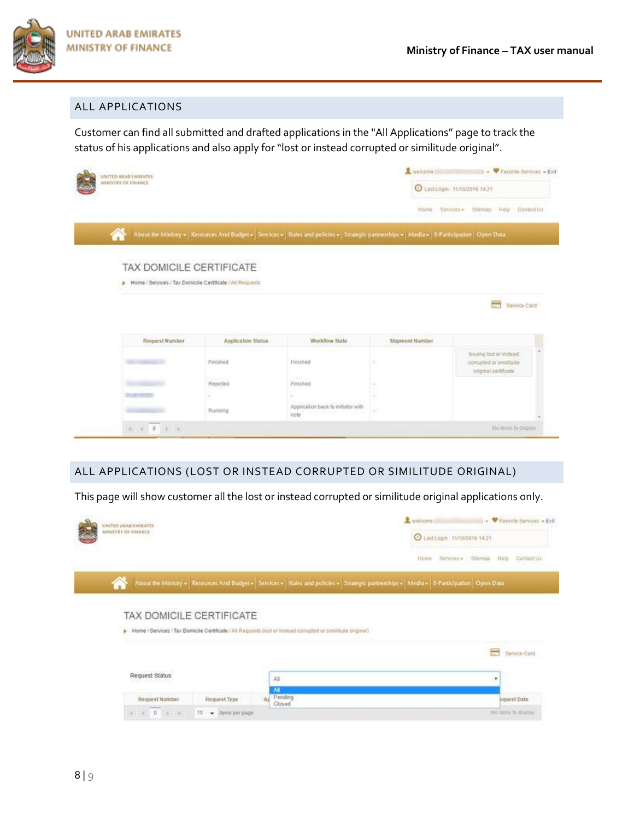

#### ALL APPLICATIONS

Customer can find all submitted and drafted applications in the "All Applications" page to track the status of his applications and also apply for "lost or instead corrupted or similitude original".

| UNITED ARAB EMIRATES                                        |                           |                                                                                                                                          | watcome (III)     | $\bullet$ $\bullet$ Favorite Services $\bullet$ Exit                   |
|-------------------------------------------------------------|---------------------------|------------------------------------------------------------------------------------------------------------------------------------------|-------------------|------------------------------------------------------------------------|
| MINISTRY OF FINANCE                                         |                           |                                                                                                                                          |                   | 2 Last Login: 11/10/2016 14:21                                         |
|                                                             |                           |                                                                                                                                          | Home <sup>-</sup> | Stemso Help<br>Contact Us<br>Services -                                |
|                                                             |                           | About the Ministry + Resources And Budget + Services + Rules and policies + Strategic partnerships + Media + E-Participation   Open Data |                   |                                                                        |
|                                                             |                           |                                                                                                                                          |                   |                                                                        |
| TAX DOMICILE CERTIFICATE                                    |                           |                                                                                                                                          |                   |                                                                        |
| F Home / Services / Tax Domicile Certificate / All Requests |                           |                                                                                                                                          |                   |                                                                        |
|                                                             |                           |                                                                                                                                          |                   |                                                                        |
|                                                             |                           |                                                                                                                                          |                   |                                                                        |
|                                                             |                           |                                                                                                                                          |                   | $\equiv$<br>Service Card                                               |
|                                                             |                           |                                                                                                                                          |                   |                                                                        |
| <b>Request Number</b>                                       | <b>Application Status</b> | Workflow State                                                                                                                           | Shipment Number   |                                                                        |
|                                                             | Finished                  | Finished                                                                                                                                 |                   | losuing lost or instead<br>compled or similade<br>original certificate |
|                                                             | Rejected                  | -255<br>Finished                                                                                                                         |                   |                                                                        |
|                                                             |                           |                                                                                                                                          |                   |                                                                        |
|                                                             | Running                   | Application back to initiator with<br>note                                                                                               | ÷                 |                                                                        |

#### ALL APPLICATIONS (LOST OR INSTEAD CORRUPTED OR SIMILITUDE ORIGINAL)

This page will show customer all the lost or instead corrupted or similitude original applications only.